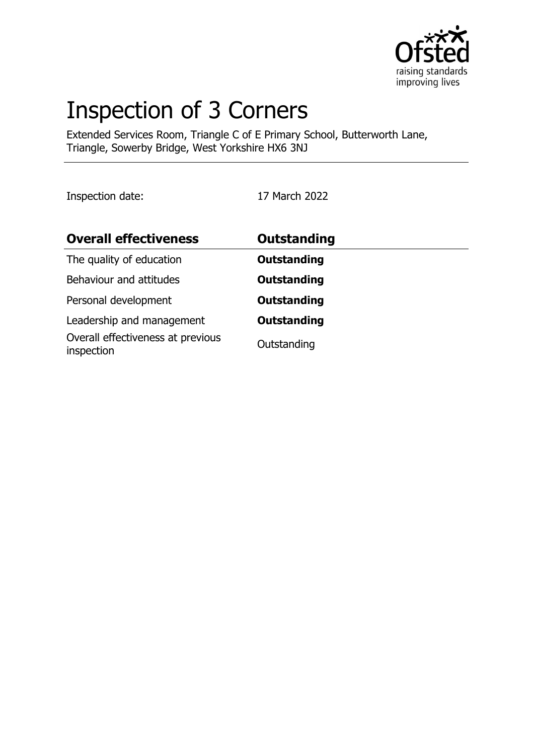

# Inspection of 3 Corners

Extended Services Room, Triangle C of E Primary School, Butterworth Lane, Triangle, Sowerby Bridge, West Yorkshire HX6 3NJ

Inspection date: 17 March 2022

| <b>Overall effectiveness</b>                    | <b>Outstanding</b> |  |
|-------------------------------------------------|--------------------|--|
| The quality of education                        | <b>Outstanding</b> |  |
| Behaviour and attitudes                         | <b>Outstanding</b> |  |
| Personal development                            | <b>Outstanding</b> |  |
| Leadership and management                       | <b>Outstanding</b> |  |
| Overall effectiveness at previous<br>inspection | Outstanding        |  |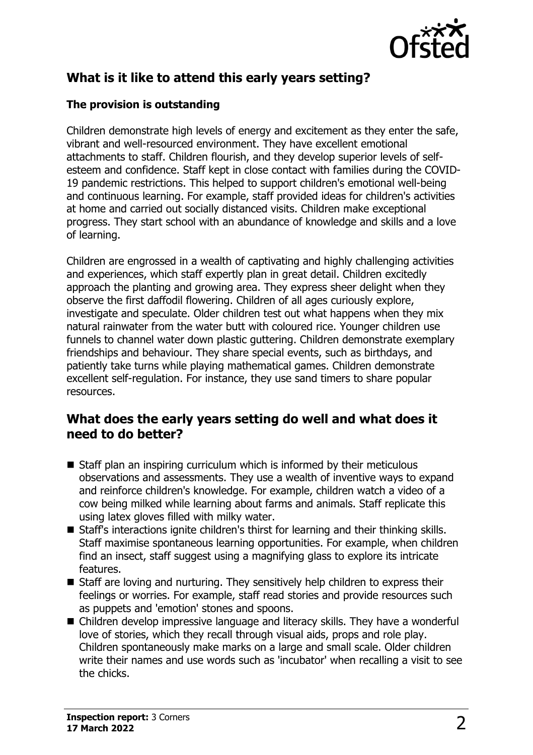

## **What is it like to attend this early years setting?**

#### **The provision is outstanding**

Children demonstrate high levels of energy and excitement as they enter the safe, vibrant and well-resourced environment. They have excellent emotional attachments to staff. Children flourish, and they develop superior levels of selfesteem and confidence. Staff kept in close contact with families during the COVID-19 pandemic restrictions. This helped to support children's emotional well-being and continuous learning. For example, staff provided ideas for children's activities at home and carried out socially distanced visits. Children make exceptional progress. They start school with an abundance of knowledge and skills and a love of learning.

Children are engrossed in a wealth of captivating and highly challenging activities and experiences, which staff expertly plan in great detail. Children excitedly approach the planting and growing area. They express sheer delight when they observe the first daffodil flowering. Children of all ages curiously explore, investigate and speculate. Older children test out what happens when they mix natural rainwater from the water butt with coloured rice. Younger children use funnels to channel water down plastic guttering. Children demonstrate exemplary friendships and behaviour. They share special events, such as birthdays, and patiently take turns while playing mathematical games. Children demonstrate excellent self-regulation. For instance, they use sand timers to share popular resources.

### **What does the early years setting do well and what does it need to do better?**

- $\blacksquare$  Staff plan an inspiring curriculum which is informed by their meticulous observations and assessments. They use a wealth of inventive ways to expand and reinforce children's knowledge. For example, children watch a video of a cow being milked while learning about farms and animals. Staff replicate this using latex gloves filled with milky water.
- Staff's interactions ignite children's thirst for learning and their thinking skills. Staff maximise spontaneous learning opportunities. For example, when children find an insect, staff suggest using a magnifying glass to explore its intricate features.
- $\blacksquare$  Staff are loving and nurturing. They sensitively help children to express their feelings or worries. For example, staff read stories and provide resources such as puppets and 'emotion' stones and spoons.
- Children develop impressive language and literacy skills. They have a wonderful love of stories, which they recall through visual aids, props and role play. Children spontaneously make marks on a large and small scale. Older children write their names and use words such as 'incubator' when recalling a visit to see the chicks.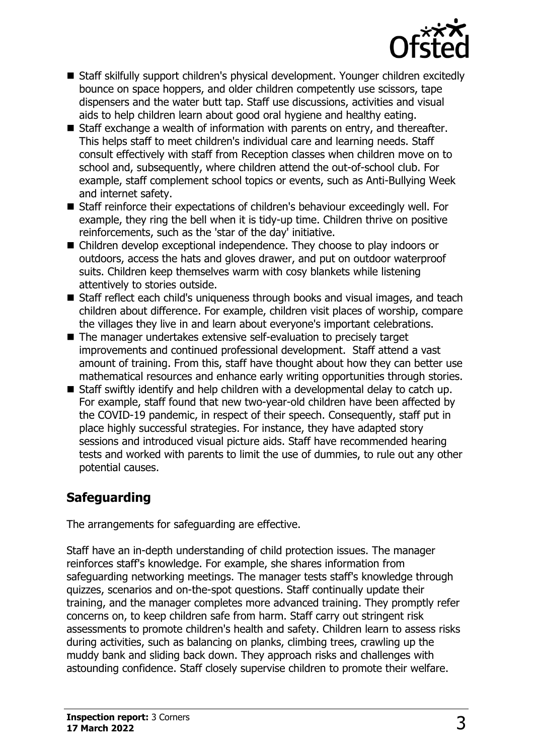

- Staff skilfully support children's physical development. Younger children excitedly bounce on space hoppers, and older children competently use scissors, tape dispensers and the water butt tap. Staff use discussions, activities and visual aids to help children learn about good oral hygiene and healthy eating.
- Staff exchange a wealth of information with parents on entry, and thereafter. This helps staff to meet children's individual care and learning needs. Staff consult effectively with staff from Reception classes when children move on to school and, subsequently, where children attend the out-of-school club. For example, staff complement school topics or events, such as Anti-Bullying Week and internet safety.
- Staff reinforce their expectations of children's behaviour exceedingly well. For example, they ring the bell when it is tidy-up time. Children thrive on positive reinforcements, such as the 'star of the day' initiative.
- Children develop exceptional independence. They choose to play indoors or outdoors, access the hats and gloves drawer, and put on outdoor waterproof suits. Children keep themselves warm with cosy blankets while listening attentively to stories outside.
- Staff reflect each child's uniqueness through books and visual images, and teach children about difference. For example, children visit places of worship, compare the villages they live in and learn about everyone's important celebrations.
- The manager undertakes extensive self-evaluation to precisely target improvements and continued professional development. Staff attend a vast amount of training. From this, staff have thought about how they can better use mathematical resources and enhance early writing opportunities through stories.
- $\blacksquare$  Staff swiftly identify and help children with a developmental delay to catch up. For example, staff found that new two-year-old children have been affected by the COVID-19 pandemic, in respect of their speech. Consequently, staff put in place highly successful strategies. For instance, they have adapted story sessions and introduced visual picture aids. Staff have recommended hearing tests and worked with parents to limit the use of dummies, to rule out any other potential causes.

## **Safeguarding**

The arrangements for safeguarding are effective.

Staff have an in-depth understanding of child protection issues. The manager reinforces staff's knowledge. For example, she shares information from safeguarding networking meetings. The manager tests staff's knowledge through quizzes, scenarios and on-the-spot questions. Staff continually update their training, and the manager completes more advanced training. They promptly refer concerns on, to keep children safe from harm. Staff carry out stringent risk assessments to promote children's health and safety. Children learn to assess risks during activities, such as balancing on planks, climbing trees, crawling up the muddy bank and sliding back down. They approach risks and challenges with astounding confidence. Staff closely supervise children to promote their welfare.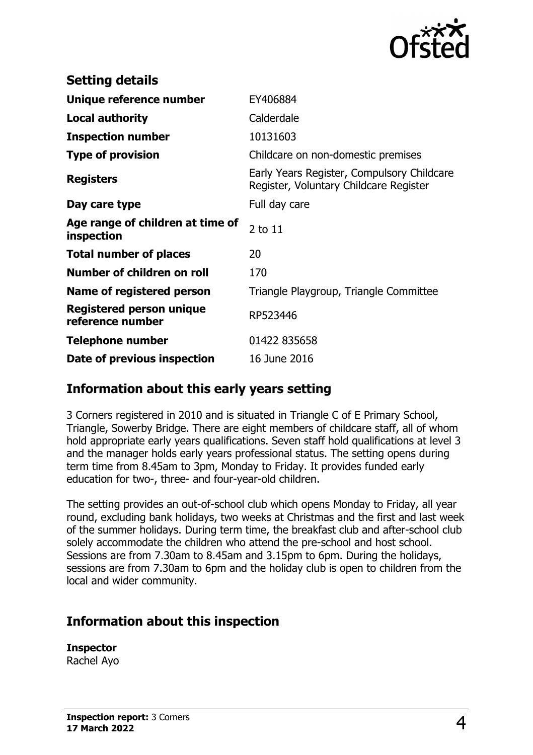

| <b>Setting details</b>                         |                                                                                      |
|------------------------------------------------|--------------------------------------------------------------------------------------|
| Unique reference number                        | EY406884                                                                             |
| <b>Local authority</b>                         | Calderdale                                                                           |
| <b>Inspection number</b>                       | 10131603                                                                             |
| <b>Type of provision</b>                       | Childcare on non-domestic premises                                                   |
| <b>Registers</b>                               | Early Years Register, Compulsory Childcare<br>Register, Voluntary Childcare Register |
| Day care type                                  | Full day care                                                                        |
| Age range of children at time of<br>inspection | 2 to 11                                                                              |
| <b>Total number of places</b>                  | 20                                                                                   |
| Number of children on roll                     | 170                                                                                  |
| Name of registered person                      | Triangle Playgroup, Triangle Committee                                               |
| Registered person unique<br>reference number   | RP523446                                                                             |
| <b>Telephone number</b>                        | 01422 835658                                                                         |
| Date of previous inspection                    | 16 June 2016                                                                         |

## **Information about this early years setting**

3 Corners registered in 2010 and is situated in Triangle C of E Primary School, Triangle, Sowerby Bridge. There are eight members of childcare staff, all of whom hold appropriate early years qualifications. Seven staff hold qualifications at level 3 and the manager holds early years professional status. The setting opens during term time from 8.45am to 3pm, Monday to Friday. It provides funded early education for two-, three- and four-year-old children.

The setting provides an out-of-school club which opens Monday to Friday, all year round, excluding bank holidays, two weeks at Christmas and the first and last week of the summer holidays. During term time, the breakfast club and after-school club solely accommodate the children who attend the pre-school and host school. Sessions are from 7.30am to 8.45am and 3.15pm to 6pm. During the holidays, sessions are from 7.30am to 6pm and the holiday club is open to children from the local and wider community.

## **Information about this inspection**

## **Inspector**

Rachel Ayo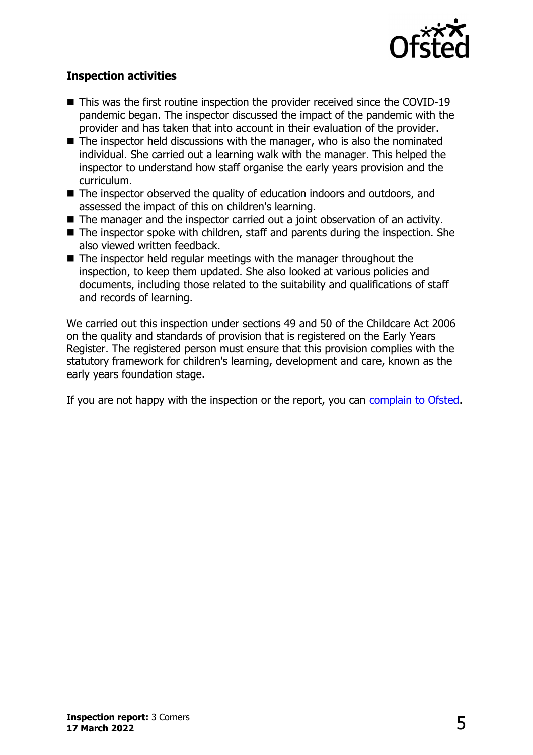

#### **Inspection activities**

- $\blacksquare$  This was the first routine inspection the provider received since the COVID-19 pandemic began. The inspector discussed the impact of the pandemic with the provider and has taken that into account in their evaluation of the provider.
- $\blacksquare$  The inspector held discussions with the manager, who is also the nominated individual. She carried out a learning walk with the manager. This helped the inspector to understand how staff organise the early years provision and the curriculum.
- The inspector observed the quality of education indoors and outdoors, and assessed the impact of this on children's learning.
- $\blacksquare$  The manager and the inspector carried out a joint observation of an activity.
- $\blacksquare$  The inspector spoke with children, staff and parents during the inspection. She also viewed written feedback.
- $\blacksquare$  The inspector held regular meetings with the manager throughout the inspection, to keep them updated. She also looked at various policies and documents, including those related to the suitability and qualifications of staff and records of learning.

We carried out this inspection under sections 49 and 50 of the Childcare Act 2006 on the quality and standards of provision that is registered on the Early Years Register. The registered person must ensure that this provision complies with the statutory framework for children's learning, development and care, known as the early years foundation stage.

If you are not happy with the inspection or the report, you can [complain to Ofsted](http://www.gov.uk/complain-ofsted-report).